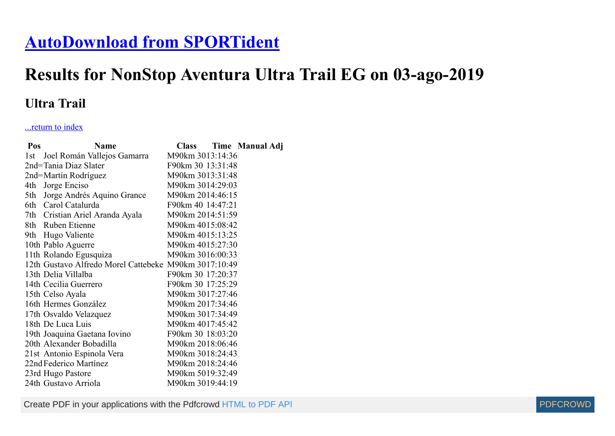## **[AutoDownload from SPORTident](http://www.sportident.co.uk/)**

## **Results for NonStop Aventura Ultra Trail EG on 03-ago-2019**

## **Ultra Trail**

## ...return to index

| Pos  | <b>Name</b>                                           | <b>Class</b>      | Time Manual Adj |
|------|-------------------------------------------------------|-------------------|-----------------|
| l st | Joel Román Vallejos Gamarra                           | M90km 3013:14:36  |                 |
|      | 2nd=Tania Diaz Slater                                 | F90km 30 13:31:48 |                 |
|      | 2nd=Martín Rodríguez                                  | M90km 3013:31:48  |                 |
| 4th  | Jorge Enciso                                          | M90km 3014:29:03  |                 |
| 5th  | Jorge Andrés Aquino Grance                            | M90km 2014:46:15  |                 |
|      | 6th Carol Catalurda                                   | F90km 40 14:47:21 |                 |
|      | 7th Cristian Ariel Aranda Ayala                       | M90km 2014:51:59  |                 |
|      | 8th Ruben Etienne                                     | M90km 4015:08:42  |                 |
|      | 9th Hugo Valiente                                     | M90km 4015:13:25  |                 |
|      | 10th Pablo Aguerre                                    | M90km 4015:27:30  |                 |
|      | 11th Rolando Egusquiza                                | M90km 3016:00:33  |                 |
|      | 12th Gustavo Alfredo Morel Cattebeke M90km 3017:10:49 |                   |                 |
|      | 13th Delia Villalba                                   | F90km 30 17:20:37 |                 |
|      | 14th Cecilia Guerrero                                 | F90km 30 17:25:29 |                 |
|      | 15th Celso Ayala                                      | M90km 3017:27:46  |                 |
|      | 16th Hermes González                                  | M90km 2017:34:46  |                 |
|      | 17th Osvaldo Velazquez                                | M90km 3017:34:49  |                 |
|      | 18th De Luca Luis                                     | M90km 4017:45:42  |                 |
|      | 19th Joaquina Gaetana Iovino                          | F90km 30 18:03:20 |                 |
|      | 20th Alexander Bobadilla                              | M90km 2018:06:46  |                 |
|      | 21st Antonio Espinola Vera                            | M90km 3018:24:43  |                 |
|      | 22nd Federico Martínez                                | M90km 2018:24:46  |                 |
|      | 23rd Hugo Pastore                                     | M90km 5019:32:49  |                 |
|      | 24th Gustavo Arriola                                  | M90km 3019:44:19  |                 |

Create PDF in your applications with the Pdfcrowd [HTML to PDF API](https://pdfcrowd.com/doc/api/?ref=pdf) [PDFCROWD](https://pdfcrowd.com/?ref=pdf)